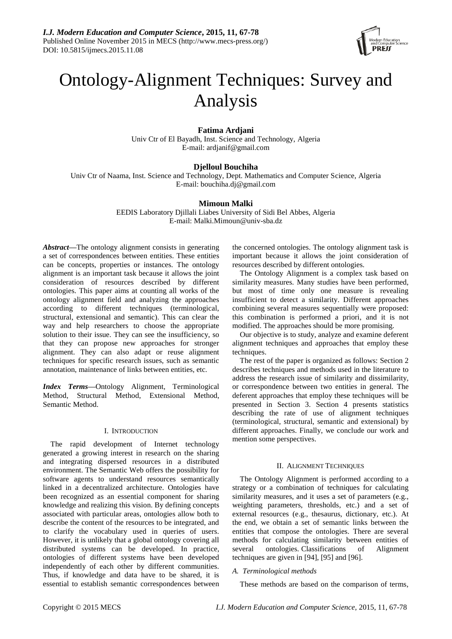

# Ontology-Alignment Techniques: Survey and Analysis

# **Fatima Ardjani**

Univ Ctr of El Bayadh, Inst. Science and Technology, Algeria E-mail: ardjanif@gmail.com

# **Djelloul Bouchiha**

Univ Ctr of Naama, Inst. Science and Technology, Dept. Mathematics and Computer Science, Algeria E-mail: bouchiha.dj@gmail.com

# **Mimoun Malki**

EEDIS Laboratory Djillali Liabes University of Sidi Bel Abbes, Algeria E-mail: Malki.Mimoun@univ-sba.dz

*Abstract***—**The ontology alignment consists in generating a set of correspondences between entities. These entities can be concepts, properties or instances. The ontology alignment is an important task because it allows the joint consideration of resources described by different ontologies. This paper aims at counting all works of the ontology alignment field and analyzing the approaches according to different techniques (terminological, structural, extensional and semantic). This can clear the way and help researchers to choose the appropriate solution to their issue. They can see the insufficiency, so that they can propose new approaches for stronger alignment. They can also adapt or reuse alignment techniques for specific research issues, such as semantic annotation, maintenance of links between entities, etc.

*Index Terms***—**Ontology Alignment, Terminological Method, Structural Method, Extensional Method, Semantic Method.

## I. INTRODUCTION

The rapid development of Internet technology generated a growing interest in research on the sharing and integrating dispersed resources in a distributed environment. The Semantic Web offers the possibility for software agents to understand resources semantically linked in a decentralized architecture. Ontologies have been recognized as an essential component for sharing knowledge and realizing this vision. By defining concepts associated with particular areas, ontologies allow both to describe the content of the resources to be integrated, and to clarify the vocabulary used in queries of users. However, it is unlikely that a global ontology covering all distributed systems can be developed. In practice, ontologies of different systems have been developed independently of each other by different communities. Thus, if knowledge and data have to be shared, it is essential to establish semantic correspondences between

the concerned ontologies. The ontology alignment task is important because it allows the joint consideration of resources described by different ontologies.

The Ontology Alignment is a complex task based on similarity measures. Many studies have been performed, but most of time only one measure is revealing insufficient to detect a similarity. Different approaches combining several measures sequentially were proposed: this combination is performed a priori, and it is not modified. The approaches should be more promising.

Our objective is to study, analyze and examine deferent alignment techniques and approaches that employ these techniques.

The rest of the paper is organized as follows: Section 2 describes techniques and methods used in the literature to address the research issue of similarity and dissimilarity, or correspondence between two entities in general. The deferent approaches that employ these techniques will be presented in Section 3. Section 4 presents statistics describing the rate of use of alignment techniques (terminological, structural, semantic and extensional) by different approaches. Finally, we conclude our work and mention some perspectives.

# II. ALIGNMENT TECHNIQUES

The Ontology Alignment is performed according to a strategy or a combination of techniques for calculating similarity measures, and it uses a set of parameters (e.g., weighting parameters, thresholds, etc.) and a set of external resources (e.g., thesaurus, dictionary, etc.). At the end, we obtain a set of semantic links between the entities that compose the ontologies. There are several methods for calculating similarity between entities of several ontologies. Classifications of Alignment techniques are given in [94], [95] and [96].

# *A. Terminological methods*

These methods are based on the comparison of terms,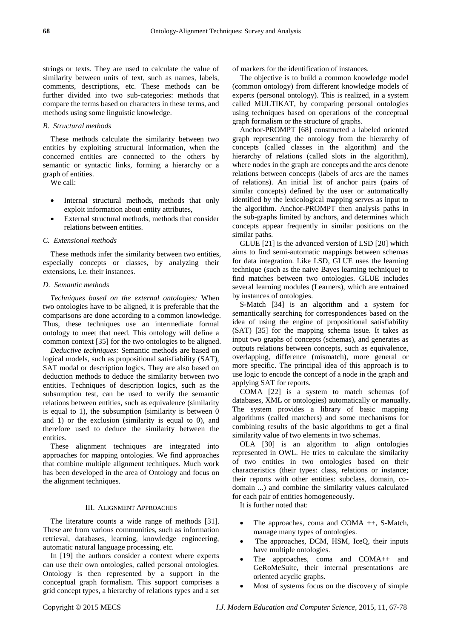strings or texts. They are used to calculate the value of similarity between units of text, such as names, labels, comments, descriptions, etc. These methods can be further divided into two sub-categories: methods that compare the terms based on characters in these terms, and methods using some linguistic knowledge.

## *B. Structural methods*

These methods calculate the similarity between two entities by exploiting structural information, when the concerned entities are connected to the others by semantic or syntactic links, forming a hierarchy or a graph of entities.

We call:

- Internal structural methods, methods that only exploit information about entity attributes,
- External structural methods, methods that consider relations between entities.

#### *C. Extensional methods*

These methods infer the similarity between two entities, especially concepts or classes, by analyzing their extensions, i.e. their instances.

#### *D. Semantic methods*

*Techniques based on the external ontologies:* When two ontologies have to be aligned, it is preferable that the comparisons are done according to a common knowledge. Thus, these techniques use an intermediate formal ontology to meet that need. This ontology will define a common context [35] for the two ontologies to be aligned.

*Deductive techniques:* Semantic methods are based on logical models, such as propositional satisfiability (SAT), SAT modal or description logics. They are also based on deduction methods to deduce the similarity between two entities. Techniques of description logics, such as the subsumption test, can be used to verify the semantic relations between entities, such as equivalence (similarity is equal to 1), the subsumption (similarity is between 0 and 1) or the exclusion (similarity is equal to 0), and therefore used to deduce the similarity between the entities.

These alignment techniques are integrated into approaches for mapping ontologies. We find approaches that combine multiple alignment techniques. Much work has been developed in the area of Ontology and focus on the alignment techniques.

#### III. ALIGNMENT APPROACHES

The literature counts a wide range of methods [31]. These are from various communities, such as information retrieval, databases, learning, knowledge engineering, automatic natural language processing, etc.

In [19] the authors consider a context where experts can use their own ontologies, called personal ontologies. Ontology is then represented by a support in the conceptual graph formalism. This support comprises a grid concept types, a hierarchy of relations types and a set

of markers for the identification of instances.

The objective is to build a common knowledge model (common ontology) from different knowledge models of experts (personal ontology). This is realized, in a system called MULTIKAT, by comparing personal ontologies using techniques based on operations of the conceptual graph formalism or the structure of graphs.

Anchor-PROMPT [68] constructed a labeled oriented graph representing the ontology from the hierarchy of concepts (called classes in the algorithm) and the hierarchy of relations (called slots in the algorithm), where nodes in the graph are concepts and the arcs denote relations between concepts (labels of arcs are the names of relations). An initial list of anchor pairs (pairs of similar concepts) defined by the user or automatically identified by the lexicological mapping serves as input to the algorithm. Anchor-PROMPT then analysis paths in the sub-graphs limited by anchors, and determines which concepts appear frequently in similar positions on the similar paths.

GLUE [21] is the advanced version of LSD [20] which aims to find semi-automatic mappings between schemas for data integration. Like LSD, GLUE uses the learning technique (such as the naive Bayes learning technique) to find matches between two ontologies. GLUE includes several learning modules (Learners), which are entrained by instances of ontologies.

S-Match [34] is an algorithm and a system for semantically searching for correspondences based on the idea of using the engine of propositional satisfiability (SAT) [35] for the mapping schema issue. It takes as input two graphs of concepts (schemas), and generates as outputs relations between concepts, such as equivalence, overlapping, difference (mismatch), more general or more specific. The principal idea of this approach is to use logic to encode the concept of a node in the graph and applying SAT for reports.

COMA [22] is a system to match schemas (of databases, XML or ontologies) automatically or manually. The system provides a library of basic mapping algorithms (called matchers) and some mechanisms for combining results of the basic algorithms to get a final similarity value of two elements in two schemas.

OLA [30] is an algorithm to align ontologies represented in OWL. He tries to calculate the similarity of two entities in two ontologies based on their characteristics (their types: class, relations or instance; their reports with other entities: subclass, domain, codomain ...) and combine the similarity values calculated for each pair of entities homogeneously.

It is further noted that:

- The approaches, coma and COMA ++, S-Match, manage many types of ontologies.
- The approaches, DCM, HSM, IceQ, their inputs have multiple ontologies.
- The approaches, coma and COMA++ and GeRoMeSuite, their internal presentations are oriented acyclic graphs.
- Most of systems focus on the discovery of simple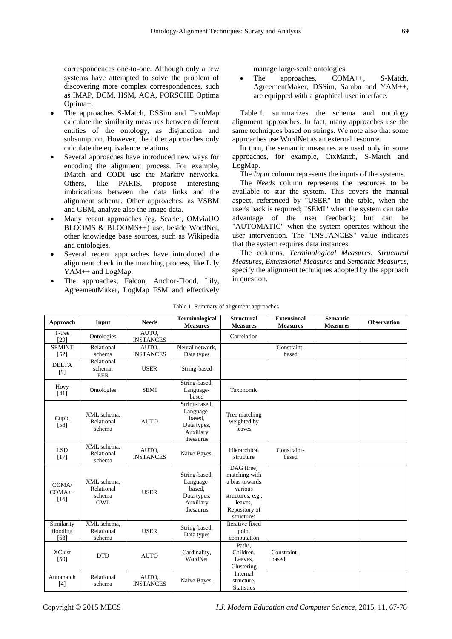correspondences one-to-one. Although only a few systems have attempted to solve the problem of discovering more complex correspondences, such as IMAP, DCM, HSM, AOA, PORSCHE Optima Optima+.

- The approaches S-Match, DSSim and TaxoMap calculate the similarity measures between different entities of the ontology, as disjunction and subsumption. However, the other approaches only calculate the equivalence relations.
- Several approaches have introduced new ways for encoding the alignment process. For example, iMatch and CODI use the Markov networks. Others, like PARIS, propose interesting imbrications between the data links and the alignment schema. Other approaches, as VSBM and GBM, analyze also the image data.
- Many recent approaches (eg. Scarlet, OMviaUO BLOOMS & BLOOMS++) use, beside WordNet, other knowledge base sources, such as Wikipedia and ontologies.
- Several recent approaches have introduced the alignment check in the matching process, like Lily, YAM++ and LogMap.
- The approaches, Falcon, Anchor-Flood, Lily, AgreementMaker, LogMap FSM and effectively

manage large-scale ontologies.

 The approaches, COMA++, S-Match, AgreementMaker, DSSim, Sambo and YAM++, are equipped with a graphical user interface.

Table.1. summarizes the schema and ontology alignment approaches. In fact, many approaches use the same techniques based on strings. We note also that some approaches use WordNet as an external resource.

In turn, the semantic measures are used only in some approaches, for example, CtxMatch, S-Match and LogMap.

The *Input* column represents the inputs of the systems.

The *Needs* column represents the resources to be available to star the system. This covers the manual aspect, referenced by "USER" in the table, when the user's back is required; "SEMI" when the system can take advantage of the user feedback; but can be "AUTOMATIC" when the system operates without the user intervention. The "INSTANCES" value indicates that the system requires data instances.

The columns, *Terminological Measures*, *Structural Measures*, *Extensional Measures* and *Semantic Measures*, specify the alignment techniques adopted by the approach in question.

| Approach                       | Input                                             | <b>Needs</b>              | Terminological<br><b>Measures</b>                                             | <b>Structural</b><br><b>Measures</b>                                                                                    | <b>Extensional</b><br><b>Measures</b> | <b>Semantic</b><br><b>Measures</b> | <b>Observation</b> |
|--------------------------------|---------------------------------------------------|---------------------------|-------------------------------------------------------------------------------|-------------------------------------------------------------------------------------------------------------------------|---------------------------------------|------------------------------------|--------------------|
| T-tree<br>$[29]$               | Ontologies                                        | AUTO.<br><b>INSTANCES</b> |                                                                               | Correlation                                                                                                             |                                       |                                    |                    |
| <b>SEMINT</b><br>$[52]$        | Relational<br>schema                              | AUTO.<br><b>INSTANCES</b> | Neural network.<br>Data types                                                 |                                                                                                                         | Constraint-<br>based                  |                                    |                    |
| <b>DELTA</b><br>[9]            | Relational<br>schema.<br><b>EER</b>               | <b>USER</b>               | String-based                                                                  |                                                                                                                         |                                       |                                    |                    |
| Hovy<br>[41]                   | Ontologies                                        | <b>SEMI</b>               | String-based,<br>Language-<br>based                                           | Taxonomic                                                                                                               |                                       |                                    |                    |
| Cupid<br>$[58]$                | XML schema.<br>Relational<br>schema               | <b>AUTO</b>               | String-based,<br>Language-<br>based.<br>Data types,<br>Auxiliary<br>thesaurus | Tree matching<br>weighted by<br>leaves                                                                                  |                                       |                                    |                    |
| <b>LSD</b><br>$[17]$           | XML schema,<br>Relational<br>schema               | AUTO,<br><b>INSTANCES</b> | Naive Bayes,                                                                  | Hierarchical<br>structure                                                                                               | Constraint-<br>based                  |                                    |                    |
| COMA/<br>$COMA++$<br>$[16]$    | XML schema.<br>Relational<br>schema<br><b>OWL</b> | <b>USER</b>               | String-based,<br>Language-<br>based,<br>Data types,<br>Auxiliary<br>thesaurus | DAG (tree)<br>matching with<br>a bias towards<br>various<br>structures, e.g.,<br>leaves,<br>Repository of<br>structures |                                       |                                    |                    |
| Similarity<br>flooding<br>[63] | XML schema.<br>Relational<br>schema               | <b>USER</b>               | String-based,<br>Data types                                                   | Iterative fixed<br>point<br>computation                                                                                 |                                       |                                    |                    |
| <b>XClust</b><br>[50]          | <b>DTD</b>                                        | <b>AUTO</b>               | Cardinality,<br>WordNet                                                       | Paths,<br>Children,<br>Leaves,<br>Clustering                                                                            | Constraint-<br>based                  |                                    |                    |
| Automatch<br>[4]               | Relational<br>schema                              | AUTO,<br><b>INSTANCES</b> | Naive Bayes,                                                                  | Internal<br>structure,<br><b>Statistics</b>                                                                             |                                       |                                    |                    |

Table 1. Summary of alignment approaches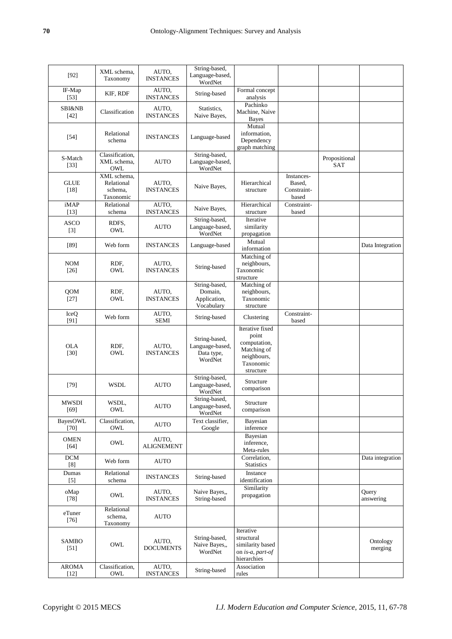| $[92]$                      | XML schema.<br>Taxonomy                           | AUTO,<br><b>INSTANCES</b>  | String-based,<br>Language-based,<br>WordNet               |                                                                                                  |                                              |                             |                     |
|-----------------------------|---------------------------------------------------|----------------------------|-----------------------------------------------------------|--------------------------------------------------------------------------------------------------|----------------------------------------------|-----------------------------|---------------------|
| IF-Map<br>$[53]$            | KIF, RDF                                          | AUTO,<br><b>INSTANCES</b>  | String-based                                              | Formal concept<br>analysis                                                                       |                                              |                             |                     |
| <b>SBI&amp;NB</b><br>$[42]$ | Classification                                    | AUTO,<br><b>INSTANCES</b>  | Statistics.<br>Naive Bayes,                               | Pachinko<br>Machine, Naive<br><b>Bayes</b>                                                       |                                              |                             |                     |
| $[54]$                      | Relational<br>schema                              | <b>INSTANCES</b>           | Language-based                                            | Mutual<br>information,<br>Dependency<br>graph matching                                           |                                              |                             |                     |
| S-Match<br>$[33]$           | Classification,<br>XML schema,<br>OWL             | <b>AUTO</b>                | String-based,<br>Language-based,<br>WordNet               |                                                                                                  |                                              | Propositional<br><b>SAT</b> |                     |
| <b>GLUE</b><br>$[18]$       | XML schema,<br>Relational<br>schema,<br>Taxonomic | AUTO,<br><b>INSTANCES</b>  | Naive Bayes,                                              | Hierarchical<br>structure                                                                        | Instances-<br>Based,<br>Constraint-<br>based |                             |                     |
| iMAP<br>[13]                | Relational<br>schema                              | AUTO,<br><b>INSTANCES</b>  | Naive Bayes,                                              | Hierarchical<br>structure                                                                        | Constraint-<br>based                         |                             |                     |
| <b>ASCO</b><br>$[3]$        | RDFS,<br>OWL                                      | <b>AUTO</b>                | String-based,<br>Language-based,<br>WordNet               | Iterative<br>similarity<br>propagation                                                           |                                              |                             |                     |
| $[89]$                      | Web form                                          | <b>INSTANCES</b>           | Language-based                                            | Mutual<br>information                                                                            |                                              |                             | Data Integration    |
| <b>NOM</b><br>$[26]$        | RDF.<br>OWL                                       | AUTO,<br><b>INSTANCES</b>  | String-based                                              | Matching of<br>neighbours,<br>Taxonomic<br>structure                                             |                                              |                             |                     |
| QOM<br>$[27]$               | RDF,<br>OWL                                       | AUTO,<br><b>INSTANCES</b>  | String-based,<br>Domain,<br>Application,<br>Vocabulary    | Matching of<br>neighbours,<br>Taxonomic<br>structure                                             |                                              |                             |                     |
| IceQ<br>[91]                | Web form                                          | AUTO,<br><b>SEMI</b>       | String-based                                              | Clustering                                                                                       | Constraint-<br>based                         |                             |                     |
| <b>OLA</b><br>$[30]$        | RDF,<br>OWL                                       | AUTO,<br><b>INSTANCES</b>  | String-based,<br>Language-based,<br>Data type,<br>WordNet | Iterative fixed<br>point<br>computation,<br>Matching of<br>neighbours,<br>Taxonomic<br>structure |                                              |                             |                     |
| $[79]$                      | <b>WSDL</b>                                       | <b>AUTO</b>                | String-based,<br>Language-based,<br>WordNet               | Structure<br>comparison                                                                          |                                              |                             |                     |
| MWSDI<br>[69]               | WSDL,<br>OWL                                      | <b>AUTO</b>                | String-based,<br>Language-based,<br>WordNet               | Structure<br>comparison                                                                          |                                              |                             |                     |
| <b>BayesOWL</b><br>[70]     | Classification,<br>OWL                            | <b>AUTO</b>                | Text classifier,<br>Google                                | Bayesian<br>inference                                                                            |                                              |                             |                     |
| <b>OMEN</b><br>$[64]$       | OWL                                               | AUTO,<br><b>ALIGNEMENT</b> |                                                           | Bayesian<br>inference,<br>Meta-rules                                                             |                                              |                             |                     |
| <b>DCM</b><br>[8]           | Web form                                          | <b>AUTO</b>                |                                                           | Correlation,<br><b>Statistics</b>                                                                |                                              |                             | Data integration    |
| Dumas<br>$[5]$              | Relational<br>schema                              | <b>INSTANCES</b>           | String-based                                              | Instance<br>identification                                                                       |                                              |                             |                     |
| oMap<br>$[78]$              | OWL                                               | AUTO,<br><b>INSTANCES</b>  | Naive Bayes,,<br>String-based                             | Similarity<br>propagation                                                                        |                                              |                             | Query<br>answering  |
| eTuner<br>$[76]$            | Relational<br>schema,<br>Taxonomy                 | <b>AUTO</b>                |                                                           |                                                                                                  |                                              |                             |                     |
| SAMBO<br>$[51]$             | OWL                                               | AUTO,<br><b>DOCUMENTS</b>  | String-based,<br>Naive Bayes,,<br>WordNet                 | Iterative<br>structural<br>similarity based<br>on is-a, part-of<br>hierarchies                   |                                              |                             | Ontology<br>merging |
| <b>AROMA</b><br>$[12]$      | Classification,<br>OWL                            | AUTO,<br><b>INSTANCES</b>  | String-based                                              | Association<br>rules                                                                             |                                              |                             |                     |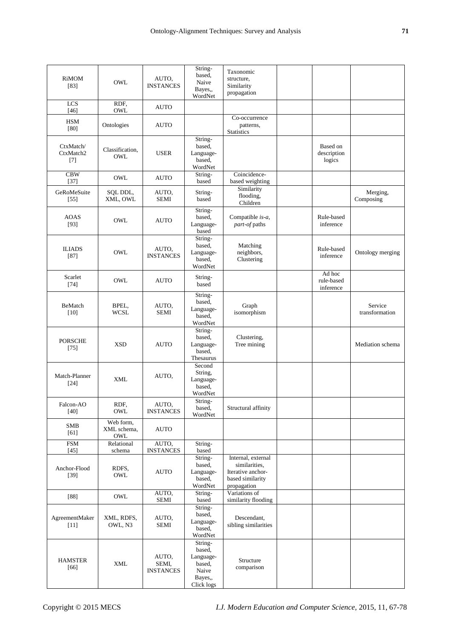| RiMOM<br>$[83]$                 | OWL                             | AUTO,<br><b>INSTANCES</b>          | String-<br>based,<br>Naive<br>Bayes,                                       | Taxonomic<br>structure,<br>Similarity<br>propagation                                        |                                   |                           |
|---------------------------------|---------------------------------|------------------------------------|----------------------------------------------------------------------------|---------------------------------------------------------------------------------------------|-----------------------------------|---------------------------|
| $\overline{LCS}$<br>$[46]$      | RDF.<br>OWL                     | <b>AUTO</b>                        | WordNet                                                                    |                                                                                             |                                   |                           |
| <b>HSM</b><br>[80]              | Ontologies                      | AUTO                               |                                                                            | Co-occurrence<br>patterns,<br>Statistics                                                    |                                   |                           |
| CtxMatch/<br>CtxMatch2<br>$[7]$ | Classification,<br>OWL          | <b>USER</b>                        | String-<br>based,<br>Language-<br>based.<br>WordNet                        |                                                                                             | Based on<br>description<br>logics |                           |
| CBW<br>$[37]$                   | OWL                             | <b>AUTO</b>                        | String-<br>based                                                           | Coincidence-<br>based weighting                                                             |                                   |                           |
| GeRoMeSuite<br>$[55]$           | SQL DDL,<br>XML, OWL            | AUTO,<br>SEMI                      | String-<br>based                                                           | Similarity<br>flooding,<br>Children                                                         |                                   | Merging,<br>Composing     |
| <b>AOAS</b><br>$[93]$           | OWL                             | <b>AUTO</b>                        | String-<br>based.<br>Language-<br>based                                    | Compatible is-a,<br>part-of paths                                                           | Rule-based<br>inference           |                           |
| <b>ILIADS</b><br>$[87]$         | OWL                             | AUTO.<br><b>INSTANCES</b>          | String-<br>based,<br>Language-<br>based,<br>WordNet                        | Matching<br>neighbors,<br>Clustering                                                        | Rule-based<br>inference           | Ontology merging          |
| Scarlet<br>$[74]$               | OWL                             | <b>AUTO</b>                        | String-<br>based                                                           |                                                                                             | Ad hoc<br>rule-based<br>inference |                           |
| BeMatch<br>[10]                 | BPEL,<br>WCSL                   | AUTO,<br><b>SEMI</b>               | String-<br>based,<br>Language-<br>based.<br>WordNet                        | Graph<br>isomorphism                                                                        |                                   | Service<br>transformation |
| <b>PORSCHE</b><br>$[75]$        | <b>XSD</b>                      | <b>AUTO</b>                        | String-<br>based,<br>Language-<br>based.<br>Thesaurus                      | Clustering,<br>Tree mining                                                                  |                                   | Mediation schema          |
| Match-Planner<br>$[24]$         | <b>XML</b>                      | AUTO,                              | Second<br>String,<br>Language-<br>based.<br>WordNet                        |                                                                                             |                                   |                           |
| Falcon-AO<br>$[40]$             | RDF,<br>OWL                     | AUTO,<br><b>INSTANCES</b>          | String-<br>based,<br>WordNet                                               | Structural affinity                                                                         |                                   |                           |
| <b>SMB</b><br>[61]              | Web form,<br>XML schema,<br>OWL | <b>AUTO</b>                        |                                                                            |                                                                                             |                                   |                           |
| <b>FSM</b><br>$[45]$            | Relational<br>schema            | AUTO,<br><b>INSTANCES</b>          | String-<br>based                                                           |                                                                                             |                                   |                           |
| Anchor-Flood<br>$[39]$          | RDFS,<br>OWL                    | <b>AUTO</b>                        | String-<br>based,<br>Language-<br>based,<br>WordNet                        | Internal, external<br>similarities.<br>Iterative anchor-<br>based similarity<br>propagation |                                   |                           |
| $[88]$                          | OWL                             | AUTO,<br>SEMI                      | String-<br>based                                                           | Variations of<br>similarity flooding                                                        |                                   |                           |
| AgreementMaker<br>$[11]$        | XML, RDFS,<br>OWL, N3           | AUTO,<br>SEMI                      | String-<br>based,<br>Language-<br>based,<br>WordNet                        | Descendant,<br>sibling similarities                                                         |                                   |                           |
| <b>HAMSTER</b><br>$[66]$        | <b>XML</b>                      | AUTO,<br>SEMI,<br><b>INSTANCES</b> | String-<br>based,<br>Language-<br>based,<br>Naive<br>Bayes,,<br>Click logs | Structure<br>comparison                                                                     |                                   |                           |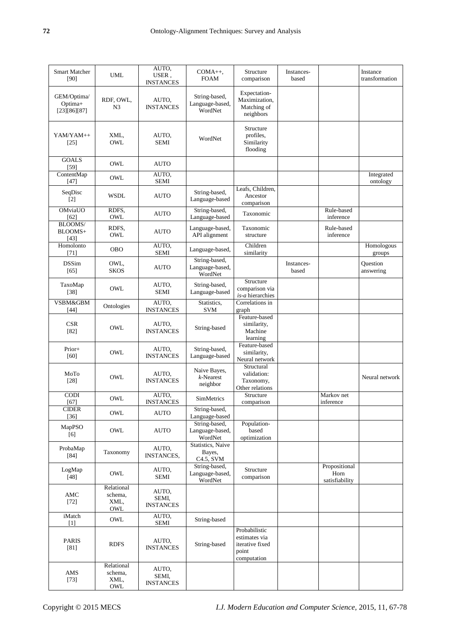| <b>Smart Matcher</b><br>[90]           | UML                                  | AUTO,<br>USER,<br><b>INSTANCES</b> | $COMA++$<br><b>FOAM</b>                     | Structure<br>comparison                                                   | Instances-<br>based |                                         | Instance<br>transformation |
|----------------------------------------|--------------------------------------|------------------------------------|---------------------------------------------|---------------------------------------------------------------------------|---------------------|-----------------------------------------|----------------------------|
| GEM/Optima/<br>Optima+<br>[23][86][87] | RDF, OWL,<br>N3                      | AUTO,<br><b>INSTANCES</b>          | String-based,<br>Language-based,<br>WordNet | Expectation-<br>Maximization,<br>Matching of<br>neighbors                 |                     |                                         |                            |
| YAM/YAM++<br>[25]                      | XML,<br>OWL                          | AUTO,<br><b>SEMI</b>               | WordNet                                     | Structure<br>profiles,<br>Similarity<br>flooding                          |                     |                                         |                            |
| <b>GOALS</b><br>$[59]$                 | OWL                                  | <b>AUTO</b>                        |                                             |                                                                           |                     |                                         |                            |
| ContentMap<br>[47]                     | OWL                                  | AUTO.<br><b>SEMI</b>               |                                             |                                                                           |                     |                                         | Integrated<br>ontology     |
| SeqDisc<br>$[2]$                       | <b>WSDL</b>                          | <b>AUTO</b>                        | String-based,<br>Language-based             | Leafs, Children,<br>Ancestor<br>comparison                                |                     |                                         |                            |
| OMviaUO<br>[62]                        | RDFS,<br>OWL                         | <b>AUTO</b>                        | String-based,<br>Language-based             | Taxonomic                                                                 |                     | Rule-based<br>inference                 |                            |
| BLOOMS/<br>BLOOMS+<br>[43]             | RDFS.<br>OWL                         | <b>AUTO</b>                        | Language-based,<br>API alignment            | Taxonomic<br>structure                                                    |                     | Rule-based<br>inference                 |                            |
| Homolonto<br>[71]                      | OBO                                  | AUTO,<br><b>SEMI</b>               | Language-based,                             | Children<br>similarity                                                    |                     |                                         | Homologous<br>groups       |
| <b>DSSim</b><br>$[65]$                 | OWL,<br><b>SKOS</b>                  | <b>AUTO</b>                        | String-based,<br>Language-based,<br>WordNet |                                                                           | Instances-<br>based |                                         | Question<br>answering      |
| TaxoMap<br>$[38]$                      | OWL                                  | AUTO.<br><b>SEMI</b>               | String-based,<br>Language-based             | Structure<br>comparison via<br>is-a hierarchies                           |                     |                                         |                            |
| VSBM&GBM<br>$[44]$                     | Ontologies                           | AUTO.<br><b>INSTANCES</b>          | Statistics,<br><b>SVM</b>                   | Correlations in<br>graph                                                  |                     |                                         |                            |
| <b>CSR</b><br>$[82]$                   | OWL                                  | AUTO,<br><b>INSTANCES</b>          | String-based                                | Feature-based<br>similarity,<br>Machine<br>learning                       |                     |                                         |                            |
| Prior+<br>[60]                         | OWL                                  | AUTO.<br><b>INSTANCES</b>          | String-based,<br>Language-based             | Feature-based<br>similarity,<br>Neural network                            |                     |                                         |                            |
| MoTo<br>$[28]$                         | OWL                                  | AUTO,<br><b>INSTANCES</b>          | Naive Bayes,<br>$k$ -Nearest<br>neighbor    | Structural<br>validation:<br>Taxonomy,<br>Other relations                 |                     |                                         | Neural network             |
| $\overline{CODI}$<br>[67]              | OWL                                  | AUTO.<br><b>INSTANCES</b>          | SimMetrics                                  | Structure<br>comparison                                                   |                     | Markov net<br>inference                 |                            |
| ${\sf CIDER}$<br>$[36]$                | $\mathop{\rm OWL}$                   | <b>AUTO</b>                        | String-based,<br>Language-based             |                                                                           |                     |                                         |                            |
| MapPSO<br>[6]                          | OWL                                  | <b>AUTO</b>                        | String-based,<br>Language-based,<br>WordNet | Population-<br>based<br>optimization                                      |                     |                                         |                            |
| ProbaMap<br>$[84]$                     | Taxonomy                             | AUTO,<br><b>INSTANCES,</b>         | Statistics, Naive<br>Bayes,<br>C4.5, SVM    |                                                                           |                     |                                         |                            |
| LogMap<br>$[48]$                       | OWL                                  | AUTO,<br><b>SEMI</b>               | String-based,<br>Language-based,<br>WordNet | Structure<br>comparison                                                   |                     | Propositional<br>Horn<br>satisfiability |                            |
| AMC<br>$[72]$                          | Relational<br>schema,<br>XML,<br>OWL | AUTO,<br>SEMI,<br><b>INSTANCES</b> |                                             |                                                                           |                     |                                         |                            |
| iMatch<br>$[1]$                        | OWL                                  | AUTO,<br>SEMI                      | String-based                                |                                                                           |                     |                                         |                            |
| PARIS<br>$[81]$                        | <b>RDFS</b>                          | AUTO,<br><b>INSTANCES</b>          | String-based                                | Probabilistic<br>estimates via<br>iterative fixed<br>point<br>computation |                     |                                         |                            |
| AMS<br>$[73]$                          | Relational<br>schema,<br>XML,<br>OWL | AUTO,<br>SEMI,<br><b>INSTANCES</b> |                                             |                                                                           |                     |                                         |                            |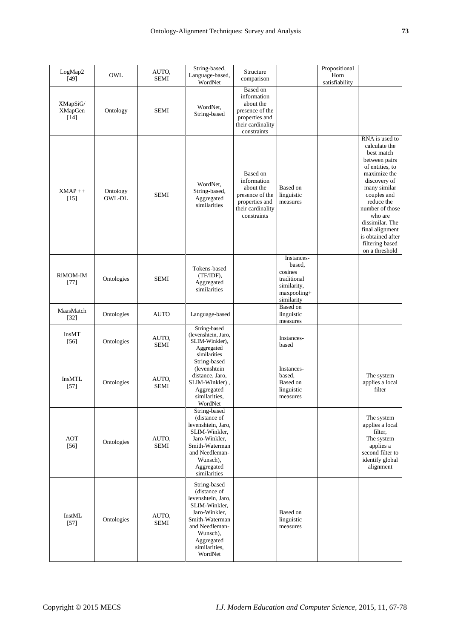| LogMap2<br>$[49]$                    | OWL                | AUTO,<br><b>SEMI</b> | String-based,<br>Language-based,<br>WordNet                                                                                                                                    | Structure<br>comparison                                                                                       |                                                                                            | Propositional<br>Horn<br>satisfiability |                                                                                                                                                                                                                                                                                              |
|--------------------------------------|--------------------|----------------------|--------------------------------------------------------------------------------------------------------------------------------------------------------------------------------|---------------------------------------------------------------------------------------------------------------|--------------------------------------------------------------------------------------------|-----------------------------------------|----------------------------------------------------------------------------------------------------------------------------------------------------------------------------------------------------------------------------------------------------------------------------------------------|
| XMapSiG/<br><b>XMapGen</b><br>$[14]$ | Ontology           | <b>SEMI</b>          | WordNet,<br>String-based                                                                                                                                                       | Based on<br>information<br>about the<br>presence of the<br>properties and<br>their cardinality<br>constraints |                                                                                            |                                         |                                                                                                                                                                                                                                                                                              |
| $XMAP++$<br>$[15]$                   | Ontology<br>OWL-DL | <b>SEMI</b>          | WordNet,<br>String-based,<br>Aggregated<br>similarities                                                                                                                        | Based on<br>information<br>about the<br>presence of the<br>properties and<br>their cardinality<br>constraints | Based on<br>linguistic<br>measures                                                         |                                         | RNA is used to<br>calculate the<br>best match<br>between pairs<br>of entities, to<br>maximize the<br>discovery of<br>many similar<br>couples and<br>reduce the<br>number of those<br>who are<br>dissimilar. The<br>final alignment<br>is obtained after<br>filtering based<br>on a threshold |
| RiMOM-IM<br>$[77]$                   | Ontologies         | <b>SEMI</b>          | Tokens-based<br>(TF/IDF),<br>Aggregated<br>similarities                                                                                                                        |                                                                                                               | Instances-<br>based,<br>cosines<br>traditional<br>similarity,<br>maxpooling+<br>similarity |                                         |                                                                                                                                                                                                                                                                                              |
| MaasMatch<br>$[32]$                  | Ontologies         | <b>AUTO</b>          | Language-based                                                                                                                                                                 |                                                                                                               | <b>Based</b> on<br>linguistic<br>measures                                                  |                                         |                                                                                                                                                                                                                                                                                              |
| InsMT<br>$[56]$                      | Ontologies         | AUTO,<br><b>SEMI</b> | String-based<br>(levenshtein, Jaro,<br>SLIM-Winkler),<br>Aggregated<br>similarities                                                                                            |                                                                                                               | Instances-<br>based                                                                        |                                         |                                                                                                                                                                                                                                                                                              |
| <b>InsMTL</b><br>$[57]$              | Ontologies         | AUTO,<br><b>SEMI</b> | String-based<br>(levenshtein<br>distance, Jaro,<br>SLIM-Winkler),<br>Aggregated<br>similarities,<br>WordNet                                                                    |                                                                                                               | Instances-<br>based.<br>Based on<br>linguistic<br>measures                                 |                                         | The system<br>applies a local<br>filter                                                                                                                                                                                                                                                      |
| AOT<br>$[56]$                        | Ontologies         | AUTO,<br><b>SEMI</b> | String-based<br>(distance of<br>levenshtein, Jaro,<br>SLIM-Winkler,<br>Jaro-Winkler,<br>Smith-Waterman<br>and Needleman-<br>Wunsch),<br>Aggregated<br>similarities             |                                                                                                               |                                                                                            |                                         | The system<br>applies a local<br>filter,<br>The system<br>applies a<br>second filter to<br>identify global<br>alignment                                                                                                                                                                      |
| InstML<br>$[57]$                     | Ontologies         | AUTO,<br><b>SEMI</b> | String-based<br>(distance of<br>levenshtein, Jaro,<br>SLIM-Winkler,<br>Jaro-Winkler,<br>Smith-Waterman<br>and Needleman-<br>Wunsch),<br>Aggregated<br>similarities,<br>WordNet |                                                                                                               | Based on<br>linguistic<br>measures                                                         |                                         |                                                                                                                                                                                                                                                                                              |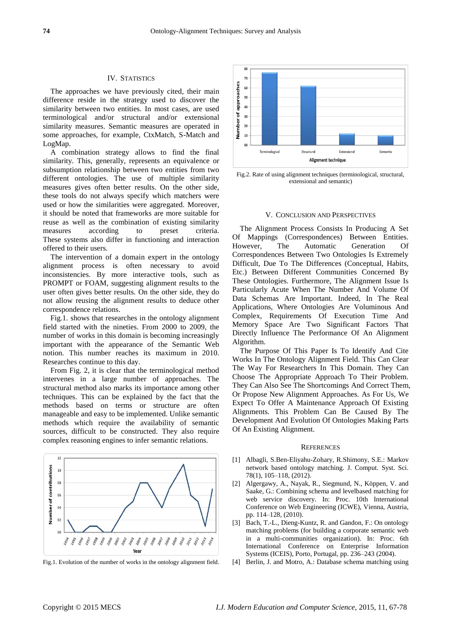## IV. STATISTICS

The approaches we have previously cited, their main difference reside in the strategy used to discover the similarity between two entities. In most cases, are used terminological and/or structural and/or extensional similarity measures. Semantic measures are operated in some approaches, for example, CtxMatch, S-Match and LogMap.

A combination strategy allows to find the final similarity. This, generally, represents an equivalence or subsumption relationship between two entities from two different ontologies. The use of multiple similarity measures gives often better results. On the other side, these tools do not always specify which matchers were used or how the similarities were aggregated. Moreover, it should be noted that frameworks are more suitable for reuse as well as the combination of existing similarity measures according to preset criteria. These systems also differ in functioning and interaction offered to their users.

The intervention of a domain expert in the ontology alignment process is often necessary to avoid inconsistencies. By more interactive tools, such as PROMPT or FOAM, suggesting alignment results to the user often gives better results. On the other side, they do not allow reusing the alignment results to deduce other correspondence relations.

Fig.1. shows that researches in the ontology alignment field started with the nineties. From 2000 to 2009, the number of works in this domain is becoming increasingly important with the appearance of the Semantic Web notion. This number reaches its maximum in 2010. Researches continue to this day.

From Fig. 2, it is clear that the terminological method intervenes in a large number of approaches. The structural method also marks its importance among other techniques. This can be explained by the fact that the methods based on terms or structure are often manageable and easy to be implemented. Unlike semantic methods which require the availability of semantic sources, difficult to be constructed. They also require complex reasoning engines to infer semantic relations.



Fig.1. Evolution of the number of works in the ontology alignment field.



Fig.2. Rate of using alignment techniques (terminological, structural, extensional and semantic)

### V. CONCLUSION AND PERSPECTIVES

The Alignment Process Consists In Producing A Set Of Mappings (Correspondences) Between Entities. However, The Automatic Generation Of Correspondences Between Two Ontologies Is Extremely Difficult, Due To The Differences (Conceptual, Habits, Etc.) Between Different Communities Concerned By These Ontologies. Furthermore, The Alignment Issue Is Particularly Acute When The Number And Volume Of Data Schemas Are Important. Indeed, In The Real Applications, Where Ontologies Are Voluminous And Complex, Requirements Of Execution Time And Memory Space Are Two Significant Factors That Directly Influence The Performance Of An Alignment Algorithm.

The Purpose Of This Paper Is To Identify And Cite Works In The Ontology Alignment Field. This Can Clear The Way For Researchers In This Domain. They Can Choose The Appropriate Approach To Their Problem. They Can Also See The Shortcomings And Correct Them, Or Propose New Alignment Approaches. As For Us, We Expect To Offer A Maintenance Approach Of Existing Alignments. This Problem Can Be Caused By The Development And Evolution Of Ontologies Making Parts Of An Existing Alignment.

#### **REFERENCES**

- [1] Albagli, S.Ben-Eliyahu-Zohary, R.Shimony, S.E.: Markov network based ontology matching. J. Comput. Syst. Sci. 78(1), 105–118, (2012).
- [2] Algergawy, A., Nayak, R., Siegmund, N., Köppen, V. and Saake, G.: Combining schema and levelbased matching for web service discovery. In: Proc. 10th International Conference on Web Engineering (ICWE), Vienna, Austria, pp. 114–128, (2010).
- [3] Bach, T.-L., Dieng-Kuntz, R. and Gandon, F.: On ontology matching problems (for building a corporate semantic web in a multi-communities organization). In: Proc. 6th International Conference on Enterprise Information Systems (ICEIS), Porto, Portugal, pp. 236–243 (2004).
- [4] Berlin, J. and Motro, A.: Database schema matching using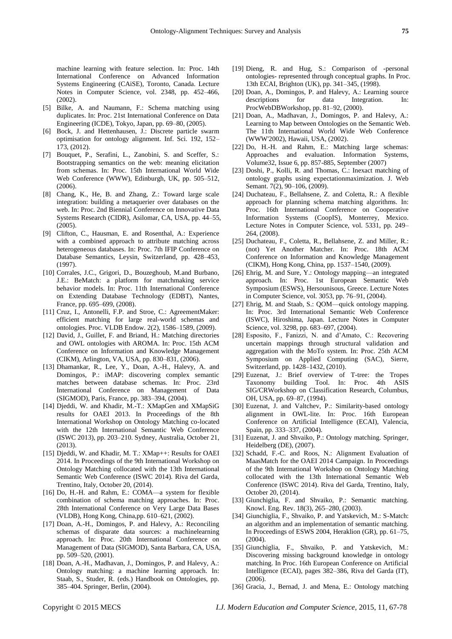machine learning with feature selection. In: Proc. 14th International Conference on Advanced Information Systems Engineering (CAiSE), Toronto, Canada. Lecture Notes in Computer Science, vol. 2348, pp. 452–466, (2002).

- [5] Bilke, A. and Naumann, F.: Schema matching using duplicates. In: Proc. 21st International Conference on Data Engineering (ICDE), Tokyo, Japan, pp. 69–80, (2005).
- [6] Bock, J. and Hettenhausen, J.: Discrete particle swarm optimisation for ontology alignment. Inf. Sci. 192, 152– 173, (2012).
- [7] Bouquet, P., Serafini, L., Zanobini, S. and Sceffer, S.: Bootstrapping semantics on the web: meaning elicitation from schemas. In: Proc. 15th International World Wide Web Conference (WWW), Edinburgh, UK, pp. 505–512,  $(2006)$ .
- [8] Chang, K., He, B. and Zhang, Z.: Toward large scale integration: building a metaquerier over databases on the web. In: Proc. 2nd Biennial Conference on Innovative Data Systems Research (CIDR), Asilomar, CA, USA, pp. 44–55, (2005).
- [9] Clifton, C., Hausman, E. and Rosenthal, A.: Experience with a combined approach to attribute matching across heterogeneous databases. In: Proc. 7th IFIP Conference on Database Semantics, Leysin, Switzerland, pp. 428–453, (1997).
- [10] Corrales, J.C., Grigori, D., Bouzeghoub, M.and Burbano, J.E.: BeMatch: a platform for matchmaking service behavior models. In: Proc. 11th International Conference on Extending Database Technology (EDBT), Nantes, France, pp. 695–699, (2008).
- [11] Cruz, I., Antonelli, F.P. and Stroe, C.: AgreementMaker: efficient matching for large real-world schemas and ontologies. Proc. VLDB Endow. 2(2), 1586–1589, (2009).
- [12] David, J., Guillet, F. and Briand, H.: Matching directories and OWL ontologies with AROMA. In: Proc. 15th ACM Conference on Information and Knowledge Management (CIKM), Arlington, VA, USA, pp. 830–831, (2006).
- [13] Dhamankar, R., Lee, Y., Doan, A.-H., Halevy, A. and Domingos, P.: iMAP: discovering complex semantic matches between database schemas. In: Proc. 23rd International Conference on Management of Data (SIGMOD), Paris, France, pp. 383–394, (2004).
- [14] Djeddi, W. and Khadir, M.-T.: XMapGen and XMapSiG results for OAEI 2013. In Proceedings of the 8th International Workshop on Ontology Matching co-located with the 12th International Semantic Web Conference (ISWC 2013), pp. 203–210. Sydney, Australia, October 21, (2013).
- [15] Djeddi, W. and Khadir, M. T.: XMap++: Results for OAEI 2014. In Proceedings of the 9th International Workshop on Ontology Matching collocated with the 13th International Semantic Web Conference (ISWC 2014). Riva del Garda, Trentino, Italy, October 20, (2014).
- [16] Do, H.-H. and Rahm, E.: COMA—a system for flexible combination of schema matching approaches. In: Proc. 28th International Conference on Very Large Data Bases (VLDB), Hong Kong, China,pp. 610–621, (2002).
- [17] Doan, A.-H., Domingos, P. and Halevy, A.: Reconciling schemas of disparate data sources: a machinelearning approach. In: Proc. 20th International Conference on Management of Data (SIGMOD), Santa Barbara, CA, USA, pp. 509–520, (2001).
- [18] Doan, A.-H., Madhavan, J., Domingos, P. and Halevy, A.: Ontology matching: a machine learning approach. In: Staab, S., Studer, R. (eds.) Handbook on Ontologies, pp. 385–404. Springer, Berlin, (2004).
- [19] Dieng, R. and Hug, S.: Comparison of -personal ontologies- represented through conceptual graphs. In Proc. 13th ECAI, Brighton (UK), pp. 341–345, (1998).
- [20] Doan, A., Domingos, P. and Halevy, A.: Learning source descriptions for data Integration. In: ProcWebDBWorkshop, pp. 81–92, (2000).
- [21] Doan, A., Madhavan, J., Domingos, P. and Halevy, A.: Learning to Map between Ontologies on the Semantic Web. The 11th International World Wide Web Conference (WWW'2002), Hawaii, USA, (2002).
- [22] Do, H.-H. and Rahm, E.: Matching large schemas: Approaches and evaluation. Information Systems, Volume32, Issue 6, pp. 857-885, September (2007)
- [23] Doshi, P., Kolli, R. and Thomas, C.: Inexact matching of ontology graphs using expectationmaximization. J. Web Semant. 7(2), 90-106, (2009).
- [24] Duchateau, F., Bellahsene, Z. and Coletta, R.: A flexible approach for planning schema matching algorithms. In: Proc. 16th International Conference on Cooperative Information Systems (CoopIS), Monterrey, Mexico. Lecture Notes in Computer Science, vol. 5331, pp. 249– 264, (2008).
- [25] Duchateau, F., Coletta, R., Bellahsene, Z. and Miller, R.: (not) Yet Another Matcher. In: Proc. 18th ACM Conference on Information and Knowledge Management (CIKM), Hong Kong, China, pp. 1537–1540, (2009).
- [26] Ehrig, M. and Sure, Y.: Ontology mapping—an integrated approach. In: Proc. 1st European Semantic Web Symposium (ESWS), Hersounisous, Greece. Lecture Notes in Computer Science, vol. 3053, pp. 76–91, (2004).
- [27] Ehrig, M. and Staab, S.: QOM—quick ontology mapping. In: Proc. 3rd International Semantic Web Conference (ISWC), Hiroshima, Japan. Lecture Notes in Computer Science, vol. 3298, pp. 683–697, (2004).
- [28] Esposito, F., Fanizzi, N. and d'Amato, C.: Recovering uncertain mappings through structural validation and aggregation with the MoTo system. In: Proc. 25th ACM Symposium on Applied Computing (SAC), Sierre, Switzerland, pp. 1428–1432, (2010).
- [29] Euzenat, J.: Brief overview of T-tree: the Tropes Taxonomy building Tool. In: Proc. 4th ASIS SIG/CRWorkshop on Classification Research, Columbus, OH, USA, pp. 69–87, (1994).
- [30] Euzenat, J. and Valtchev, P.: Similarity-based ontology alignment in OWL-lite. In: Proc. 16th European Conference on Artificial Intelligence (ECAI), Valencia, Spain, pp. 333–337, (2004).
- [31] Euzenat, J. and Shvaiko, P.: Ontology matching. Springer, Heidelberg (DE), (2007).
- [32] Schadd, F.-C. and Roos, N.: Alignment Evaluation of MaasMatch for the OAEI 2014 Campaign. In Proceedings of the 9th International Workshop on Ontology Matching collocated with the 13th International Semantic Web Conference (ISWC 2014). Riva del Garda, Trentino, Italy, October 20, (2014).
- [33] Giunchiglia, F. and Shvaiko, P.: Semantic matching. Knowl. Eng. Rev. 18(3), 265–280, (2003).
- [34] Giunchiglia, F., Shvaiko, P. and Yatskevich, M.: S-Match: an algorithm and an implementation of semantic matching. In Proceedings of ESWS 2004, Heraklion (GR), pp. 61–75,  $(2004)$ .
- [35] Giunchiglia, F., Shvaiko, P. and Yatskevich, M.: Discovering missing background knowledge in ontology matching. In Proc. 16th European Conference on Artificial Intelligence (ECAI), pages 382–386, Riva del Garda (IT), (2006).
- [36] Gracia, J., Bernad, J. and Mena, E.: Ontology matching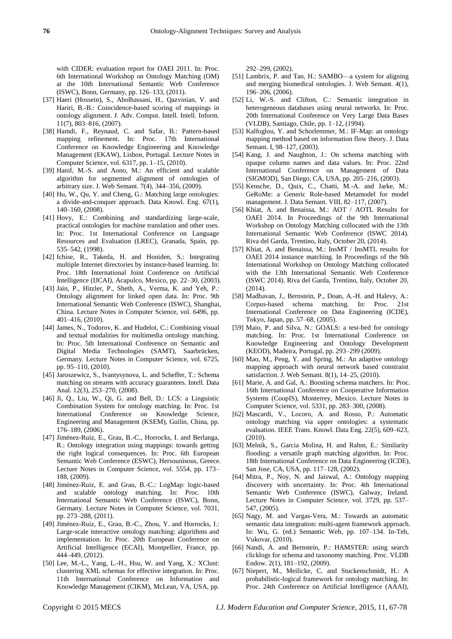with CIDER: evaluation report for OAEI 2011. In: Proc. 6th International Workshop on Ontology Matching (OM) at the 10th International Semantic Web Conference (ISWC), Bonn, Germany, pp. 126–133, (2011).

- [37] Haeri (Hossein), S., Abolhassani, H., Qazvinian, V. and Hariri, B.-B.: Coincidence-based scoring of mappings in ontology alignment. J. Adv. Comput. Intell. Intell. Inform. 11(7), 803–816, (2007).
- [38] Hamdi, F., Reynaud, C. and Safar, B.: Pattern-based mapping refinement. In: Proc. 17th International Conference on Knowledge Engineering and Knowledge Management (EKAW), Lisbon, Portugal. Lecture Notes in Computer Science, vol. 6317, pp. 1–15, (2010).
- [39] Hanif, M.-S. and Aono, M.: An efficient and scalable algorithm for segmented alignment of ontologies of arbitrary size. J. Web Semant. 7(4), 344–356, (2009).
- [40] Hu, W., Qu, Y. and Cheng, G.: Matching large ontologies: a divide-and-conquer approach. Data Knowl. Eng. 67(1), 140–160, (2008).
- [41] Hovy, E.: Combining and standardizing large-scale, practical ontologies for machine translation and other uses. In: Proc. 1st International Conference on Language Resources and Evaluation (LREC), Granada, Spain, pp. 535–542, (1998).
- [42] Ichise, R., Takeda, H. and Honiden, S.: Integrating multiple Internet directories by instance-based learning. In: Proc. 18th International Joint Conference on Artificial Intelligence (IJCAI), Acapulco, Mexico, pp. 22–30, (2003).
- [43] Jain, P., Hitzler, P., Sheth, A., Verma, K. and Yeh, P.: Ontology alignment for linked open data. In: Proc. 9th International Semantic Web Conference (ISWC), Shanghai, China. Lecture Notes in Computer Science, vol. 6496, pp. 401–416, (2010).
- [44] James, N., Todorov, K. and Hudelot, C.: Combining visual and textual modalities for multimedia ontology matching. In: Proc. 5th International Conference on Semantic and Digital Media Technologies (SAMT), Saarbrücken, Germany. Lecture Notes in Computer Science, vol. 6725, pp. 95–110, (2010).
- [45] Jaroszewicz, S., Ivantysynova, L. and Scheffer, T.: Schema matching on streams with accuracy guarantees. Intell. Data Anal. 12(3), 253–270, (2008).
- [46] Ji, Q., Liu, W., Qi, G. and Bell, D.: LCS: a Linguistic Combination System for ontology matching. In: Proc. 1st International Conference on Knowledge Science, Engineering and Management (KSEM), Guilin, China, pp. 176–189, (2006).
- [47] Jiménez-Ruiz, E., Grau, B.-C., Horrocks, I. and Berlanga, R.: Ontology integration using mappings: towards getting the right logical consequences. In: Proc. 6th European Semantic Web Conference (ESWC), Hersounisous, Greece. Lecture Notes in Computer Science, vol. 5554, pp. 173– 188, (2009).
- [48] Jiménez-Ruiz, E. and Grau, B.-C.: LogMap: logic-based and scalable ontology matching. In: Proc. 10th International Semantic Web Conference (ISWC), Bonn, Germany. Lecture Notes in Computer Science, vol. 7031, pp. 273–288, (2011).
- [49] Jiménez-Ruiz, E., Grau, B.-C., Zhou, Y. and Horrocks, I.: Large-scale interactive ontology matching: algorithms and implementation. In: Proc. 20th European Conference on Artificial Intelligence (ECAI), Montpellier, France, pp. 444–449, (2012).
- [50] Lee, M.-L., Yang, L.-H., Hsu, W. and Yang, X.: XClust: clustering XML schemas for effective integration. In: Proc. 11th International Conference on Information and Knowledge Management (CIKM), McLean, VA, USA, pp.

292–299, (2002).

- [51] Lambrix, P. and Tan, H.: SAMBO—a system for aligning and merging biomedical ontologies. J. Web Semant. 4(1), 196–206, (2006).
- [52] Li, W.-S. and Clifton, C.: Semantic integration in heterogeneous databases using neural networks. In: Proc. 20th International Conference on Very Large Data Bases (VLDB), Santiago, Chile, pp. 1–12, (1994).
- [53] Kalfoglou, Y. and Schorlemmer, M.: IF-Map: an ontology mapping method based on information flow theory. J. Data Semant. I, 98–127, (2003).
- [54] Kang, J. and Naughton, J.: On schema matching with opaque column names and data values. In: Proc. 22nd International Conference on Management of Data (SIGMOD), San Diego, CA, USA, pp. 205–216, (2003).
- [55] Kensche, D., Quix, C., Chatti, M.-A. and Jarke, M.: GeRoMe: a Generic Role-based Metamodel for model management. J. Data Semant. VIII, 82–117, (2007).
- [56] Khiat, A. and Benaissa, M.: AOT / AOTL Results for OAEI 2014. In Proceedings of the 9th International Workshop on Ontology Matching collocated with the 13th International Semantic Web Conference (ISWC 2014). Riva del Garda, Trentino, Italy, October 20, (2014).
- [57] Khiat, A. and Benaissa, M.: InsMT / InsMTL results for OAEI 2014 instance matching. In Proceedings of the 9th International Workshop on Ontology Matching collocated with the 13th International Semantic Web Conference (ISWC 2014). Riva del Garda, Trentino, Italy, October 20, (2014).
- [58] Madhavan, J., Bernstein, P., Doan, A.-H. and Halevy, A.: Corpus-based schema matching. In: Proc. 21st International Conference on Data Engineering (ICDE), Tokyo, Japan, pp. 57–68, (2005).
- [59] Maio, P. and Silva, N.: GOALS: a test-bed for ontology matching. In: Proc. 1st International Conference on Knowledge Engineering and Ontology Development (KEOD), Madeira, Portugal, pp. 293–299 (2009).
- [60] Mao, M., Peng, Y. and Spring, M.: An adaptive ontology mapping approach with neural network based constraint satisfaction. J. Web Semant. 8(1), 14–25, (2010).
- [61] Marie, A. and Gal, A.: Boosting schema matchers. In: Proc. 16th International Conference on Cooperative Information Systems (CoopIS), Monterrey, Mexico. Lecture Notes in Computer Science, vol. 5331, pp. 283–300, (2008).
- [62] Mascardi, V., Locoro, A. and Rosso, P.: Automatic ontology matching via upper ontologies: a systematic evaluation. IEEE Trans. Knowl. Data Eng. 22(5), 609–623, (2010).
- [63] Melnik, S., Garcia Molina, H. and Rahm, E.: Similarity flooding: a versatile graph matching algorithm. In: Proc. 18th International Conference on Data Engineering (ICDE), San Jose, CA, USA, pp. 117–128, (2002).
- [64] Mitra, P., Noy, N. and Jaiswal, A.: Ontology mapping discovery with uncertainty. In: Proc. 4th International Semantic Web Conference (ISWC), Galway, Ireland. Lecture Notes in Computer Science, vol. 3729, pp. 537– 547, (2005).
- [65] Nagy, M. and Vargas-Vera, M.: Towards an automatic semantic data integration: multi-agent framework approach. In: Wu, G. (ed.) Semantic Web, pp. 107–134. In-Teh, Vukovar, (2010).
- [66] Nandi, A. and Bernstein, P.: HAMSTER: using search clicklogs for schema and taxonomy matching. Proc. VLDB Endow. 2(1), 181–192, (2009).
- [67] Niepert, M., Meilicke, C. and Stuckenschmidt, H.: A probabilistic-logical framework for ontology matching. In: Proc. 24th Conference on Artificial Intelligence (AAAI),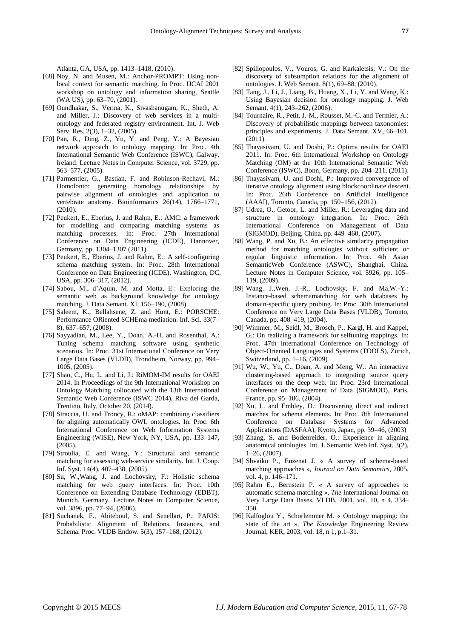Atlanta, GA, USA, pp. 1413–1418, (2010).

- [68] Noy, N. and Musen, M.: Anchor-PROMPT: Using nonlocal context for semantic matching. In Proc. IJCAI 2001 workshop on ontology and information sharing, Seattle (WA US), pp. 63–70, (2001).
- [69] Oundhakar, S., Verma, K., Sivashanugam, K., Sheth, A. and Miller, J.: Discovery of web services in a multiontology and federated registry environment. Int. J. Web Serv. Res. 2(3), 1–32, (2005).
- [70] Pan, R., Ding, Z., Yu, Y. and Peng, Y.: A Bayesian network approach to ontology mapping. In: Proc. 4th International Semantic Web Conference (ISWC), Galway, Ireland. Lecture Notes in Computer Science, vol. 3729, pp. 563–577, (2005).
- [71] Parmentier, G., Bastian, F. and Robinson-Rechavi, M.: Homolonto: generating homology relationships by pairwise alignment of ontologies and application to vertebrate anatomy. Bioinformatics 26(14), 1766–1771, (2010).
- [72] Peukert, E., Eberius, J. and Rahm, E.: AMC: a framework for modelling and comparing matching systems as matching processes. In: Proc. 27th International Conference on Data Engineering (ICDE), Hannover, Germany, pp. 1304–1307 (2011).
- [73] Peukert, E., Eberius, J. and Rahm, E.: A self-configuring schema matching system. In: Proc. 28th International Conference on Data Engineering (ICDE), Washington, DC, USA, pp. 306–317, (2012).
- [74] Sabou, M., d'Aquin, M. and Motta, E.: Exploring the semantic web as background knowledge for ontology matching. J. Data Semant. XI, 156–190, (2008)
- [75] Saleem, K., Bellahsene, Z. and Hunt, E.: PORSCHE: Performance ORiented SCHEma mediation. Inf. Sci. 33(7– 8), 637–657, (2008).
- [76] Sayyadian, M., Lee, Y., Doan, A.-H. and Rosenthal, A.: Tuning schema matching software using synthetic scenarios. In: Proc. 31st International Conference on Very Large Data Bases (VLDB), Trondheim, Norway, pp. 994– 1005, (2005).
- [77] Shao, C., Hu, L. and Li, J.: RiMOM-IM results for OAEI 2014. In Proceedings of the 9th International Workshop on Ontology Matching collocated with the 13th International Semantic Web Conference (ISWC 2014). Riva del Garda, Trentino, Italy, October 20, (2014).
- [78] Straccia, U. and Troncy, R.: oMAP: combining classifiers for aligning automatically OWL ontologies. In: Proc. 6th International Conference on Web Information Systems Engineering (WISE), New York, NY, USA, pp. 133–147, (2005).
- [79] Stroulia, E. and Wang, Y.: Structural and semantic matching for assessing web-service similarity. Int. J. Coop. Inf. Syst. 14(4), 407–438, (2005).
- [80] Su, W.,Wang, J. and Lochovsky, F.: Holistic schema matching for web query interfaces. In: Proc. 10th Conference on Extending Database Technology (EDBT), Munich, Germany. Lecture Notes in Computer Science, vol. 3896, pp. 77–94, (2006).
- [81] Suchanek, F., Abiteboul, S. and Senellart, P.: PARIS: Probabilistic Alignment of Relations, Instances, and Schema. Proc. VLDB Endow. 5(3), 157–168, (2012).
- [82] Spiliopoulos, V., Vouros, G. and Karkaletsis, V.: On the discovery of subsumption relations for the alignment of ontologies. J. Web Semant. 8(1), 69–88, (2010).
- [83] Tang, J., Li, J., Liang, B., Huang, X., Li, Y. and Wang, K.: Using Bayesian decision for ontology mapping. J. Web Semant. 4(1), 243–262, (2006).
- [84] Tournaire, R., Petit, J.-M., Rousset, M.-C. and Termier, A.: Discovery of probabilistic mappings between taxonomies: principles and experiments. J. Data Semant. XV, 66–101, (2011).
- [85] Thayasiyam, U. and Doshi, P.: Optima results for OAEI 2011. In: Proc. 6th International Workshop on Ontology Matching (OM) at the 10th International Semantic Web Conference (ISWC), Bonn, Germany, pp. 204–211, (2011).
- [86] Thayasivam, U. and Doshi, P.: Improved convergence of iterative ontology alignment using blockcoordinate descent. In: Proc. 26th Conference on Artificial Intelligence (AAAI), Toronto, Canada, pp. 150–156, (2012).
- [87] Udrea, O., Getoor, L. and Miller, R.: Leveraging data and structure in ontology integration. In: Proc. 26th International Conference on Management of Data (SIGMOD), Beijing, China, pp. 449–460, (2007).
- [88] Wang, P. and Xu, B.: An effective similarity propagation method for matching ontologies without sufficient or regular linguistic information. In: Proc. 4th Asian SemanticWeb Conference (ASWC), Shanghai, China. Lecture Notes in Computer Science, vol. 5926, pp. 105– 119, (2009).
- [89] Wang, J.,Wen, J.-R., Lochovsky, F. and Ma,W.-Y.: Instance-based schemamatching for web databases by domain-specific query probing. In: Proc. 30th International Conference on Very Large Data Bases (VLDB), Toronto, Canada, pp. 408–419, (2004).
- [90] Wimmer, M., Seidl, M., Brosch, P., Kargl, H. and Kappel, G.: On realizing a framework for selftuning mappings. In: Proc. 47th International Conference on Technology of Object-Oriented Languages and Systems (TOOLS), Zürich, Switzerland, pp. 1–16, (2009)
- [91] Wu, W., Yu, C., Doan, A. and Meng, W.: An interactive clustering-based approach to integrating source query interfaces on the deep web. In: Proc. 23rd International Conference on Management of Data (SIGMOD), Paris, France, pp. 95–106, (2004).
- [92] Xu, L. and Embley, D.: Discovering direct and indirect matches for schema elements. In: Proc. 8th International Conference on Database Systems for Advanced Applications (DASFAA), Kyoto, Japan, pp. 39–46, (2003)
- [93] Zhang, S. and Bodenreider, O.: Experience in aligning anatomical ontologies. Int. J. Semantic Web Inf. Syst. 3(2), 1–26, (2007).
- [94] Shvaiko P., Euzenat J. « A survey of schema-based matching approaches », *Journal on Data Semantics*, 2005, vol. 4, p. 146–171.
- [95] Rahm E., Bernstein P. « A survey of approaches to automatic schema matching », *The* International Journal on Very Large Data Bases, VLDB, 2001, vol. 10, n 4, 334– 350.
- [96] Kalfoglou Y., Schorlemmer M. « Ontology mapping: the state of the art », *The Knowledge* Engineering Review Journal, KER, 2003, vol. 18, n 1, p.1–31.